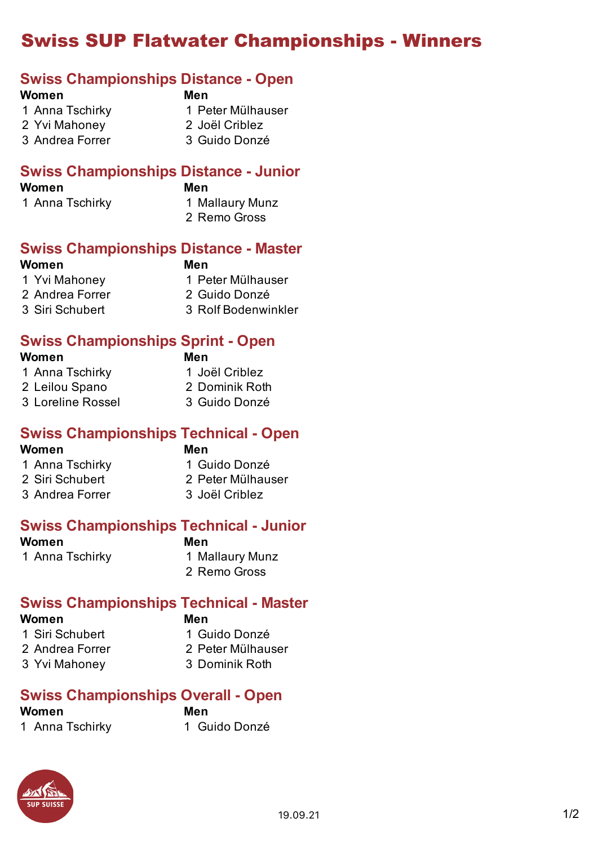# Swiss SUP Flatwater Championships - Winners

#### **Swiss Championships Distance - Open**

#### **Women Men**

- 
- 1 Anna Tschirky 1 Peter Mülhauser
- 2 Yvi Mahoney 2 Joël Criblez
- 3 Andrea Forrer 3 Guido Donzé

#### **Swiss Championships Distance - Junior**

**Women Men**

- 1 Anna Tschirky 1 Mallaury Munz
	- 2 Remo Gross

#### **Swiss Championships Distance - Master**

#### **Women Men**

- 1 Yvi Mahoney 1 Peter Mülhauser
	-
- 
- 2 Andrea Forrer 2 Guido Donzé
- 
- 3 Siri Schubert 3 Rolf Bodenwinkler

### **Swiss Championships Sprint - Open**

**Women Men**

- 
- 1 Anna Tschirky 1 Joël Criblez
- 2 Leilou Spano 2 Dominik Roth
- 3 Loreline Rossel 3 Guido Donzé
- -

#### **Swiss Championships Technical - Open**

#### **Women Men**

- 1 Anna Tschirky 1 Guido Donzé
	-
- 2 Siri Schubert 2 Peter Mülhauser
- 3 Andrea Forrer 3 Joël Criblez

## **Swiss Championships Technical - Junior**

**Women Men**

- 1 Anna Tschirky 1 Mallaury Munz
	- 2 Remo Gross

### **Swiss Championships Technical - Master**

#### **Women**

#### **Men**

- 1 Siri Schubert 1 Guido Donzé
	-
- 2 Andrea Forrer 2 Peter Mülhauser
- 3 Yvi Mahoney 3 Dominik Roth
- 

### **Swiss Championships Overall - Open**

#### **Women Men**

1 Anna Tschirky 1 Guido Donzé

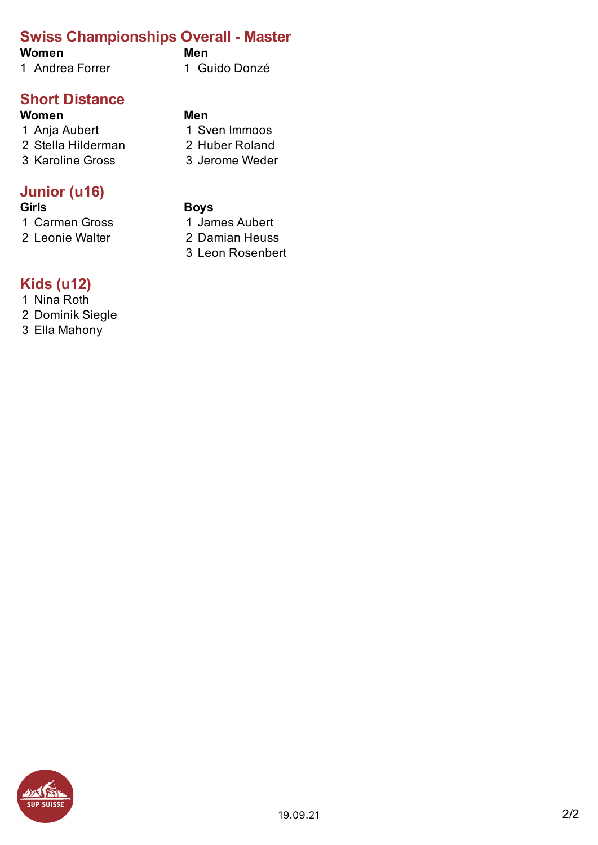## **Swiss Championships Overall - Master**

#### **Women Men**

- 1 Andrea Forrer 1 Guido Donzé
- 

### **Short Distance**

#### **Women Men**

- 1 Anja Aubert 1 Sven Immoos
- 2 Stella Hilderman 2 Huber Roland
- 3 Karoline Gross 3 Jerome Weder

### **Junior (u16)**

- **Girls Boys**
- 1 Carmen Gross 1 James Aubert
- 2 Leonie Walter 2 Damian Heuss

### **Kids (u12)**

- 1 Nina Roth
- 2 Dominik Siegle
- 3 Ella Mahony



3 Leon Rosenbert

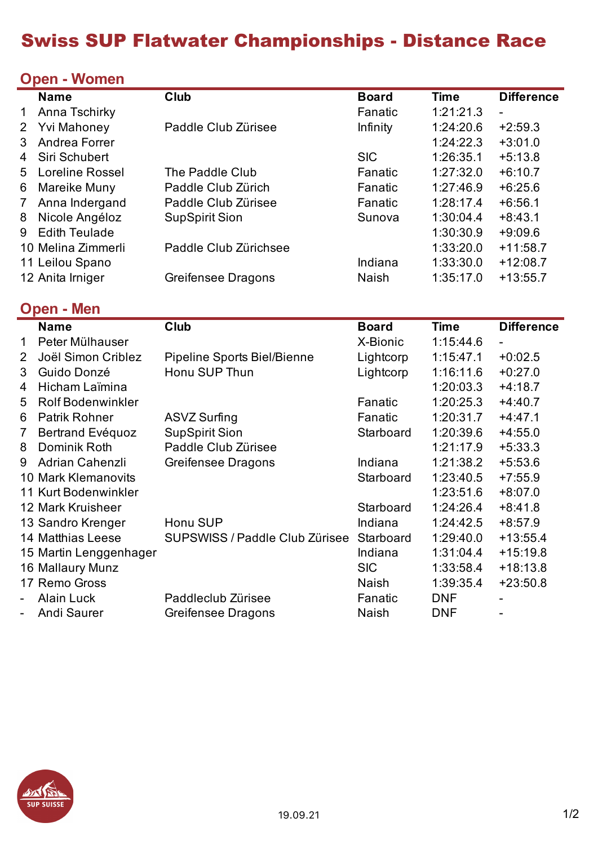# Swiss SUP Flatwater Championships - Distance Race

## **Open - Women**

|                 | <b>Name</b>            | <b>Club</b>           | <b>Board</b> | <b>Time</b> | <b>Difference</b> |
|-----------------|------------------------|-----------------------|--------------|-------------|-------------------|
| $\mathbf 1$     | Anna Tschirky          |                       | Fanatic      | 1:21:21.3   | ۰                 |
| 2 <sup>1</sup>  | <b>Yvi Mahoney</b>     | Paddle Club Zürisee   | Infinity     | 1:24:20.6   | $+2:59.3$         |
| 3               | Andrea Forrer          |                       |              | 1:24:22.3   | $+3:01.0$         |
| 4               | Siri Schubert          |                       | <b>SIC</b>   | 1:26:35.1   | $+5:13.8$         |
| 5               | <b>Loreline Rossel</b> | The Paddle Club       | Fanatic      | 1:27:32.0   | $+6:10.7$         |
| 6               | Mareike Muny           | Paddle Club Zürich    | Fanatic      | 1:27:46.9   | $+6:25.6$         |
| $7\overline{ }$ | Anna Indergand         | Paddle Club Zürisee   | Fanatic      | 1:28:17.4   | $+6:56.1$         |
| 8               | Nicole Angéloz         | <b>SupSpirit Sion</b> | Sunova       | 1:30:04.4   | $+8:43.1$         |
| 9               | <b>Edith Teulade</b>   |                       |              | 1:30:30.9   | $+9:09.6$         |
|                 | 10 Melina Zimmerli     | Paddle Club Zürichsee |              | 1:33:20.0   | $+11:58.7$        |
|                 | 11 Leilou Spano        |                       | Indiana      | 1:33:30.0   | $+12:08.7$        |
|                 | 12 Anita Irniger       | Greifensee Dragons    | <b>Naish</b> | 1:35:17.0   | $+13:55.7$        |

## **Open - Men**

|                       | <b>Name</b>              | Club                           | <b>Board</b> | Time       | <b>Difference</b> |
|-----------------------|--------------------------|--------------------------------|--------------|------------|-------------------|
| 1                     | Peter Mülhauser          |                                | X-Bionic     | 1:15:44.6  |                   |
| $\mathbf{2}^{\prime}$ | Joël Simon Criblez       | Pipeline Sports Biel/Bienne    | Lightcorp    | 1:15:47.1  | $+0:02.5$         |
| 3                     | Guido Donzé              | Honu SUP Thun                  | Lightcorp    | 1:16:11.6  | $+0:27.0$         |
| 4                     | Hicham Laïmina           |                                |              | 1:20:03.3  | $+4:18.7$         |
| 5                     | <b>Rolf Bodenwinkler</b> |                                | Fanatic      | 1:20:25.3  | $+4:40.7$         |
| 6                     | <b>Patrik Rohner</b>     | ASVZ Surfing                   | Fanatic      | 1:20:31.7  | $+4:47.1$         |
| $\mathbf{7}$          | Bertrand Evéquoz         | <b>SupSpirit Sion</b>          | Starboard    | 1:20:39.6  | $+4:55.0$         |
| 8                     | Dominik Roth             | Paddle Club Zürisee            |              | 1:21:17.9  | $+5:33.3$         |
| 9                     | <b>Adrian Cahenzli</b>   | Greifensee Dragons             | Indiana      | 1:21:38.2  | $+5:53.6$         |
|                       | 10 Mark Klemanovits      |                                | Starboard    | 1:23:40.5  | $+7:55.9$         |
|                       | 11 Kurt Bodenwinkler     |                                |              | 1:23:51.6  | $+8:07.0$         |
|                       | 12 Mark Kruisheer        |                                | Starboard    | 1:24:26.4  | $+8:41.8$         |
|                       | 13 Sandro Krenger        | Honu SUP                       | Indiana      | 1:24:42.5  | $+8:57.9$         |
|                       | 14 Matthias Leese        | SUPSWISS / Paddle Club Zürisee | Starboard    | 1:29:40.0  | $+13:55.4$        |
|                       | 15 Martin Lenggenhager   |                                | Indiana      | 1:31:04.4  | $+15:19.8$        |
|                       | 16 Mallaury Munz         |                                | <b>SIC</b>   | 1:33:58.4  | $+18:13.8$        |
|                       | 17 Remo Gross            |                                | <b>Naish</b> | 1:39:35.4  | $+23:50.8$        |
|                       | <b>Alain Luck</b>        | Paddleclub Zürisee             | Fanatic      | <b>DNF</b> |                   |
|                       | <b>Andi Saurer</b>       | Greifensee Dragons             | <b>Naish</b> | <b>DNF</b> |                   |

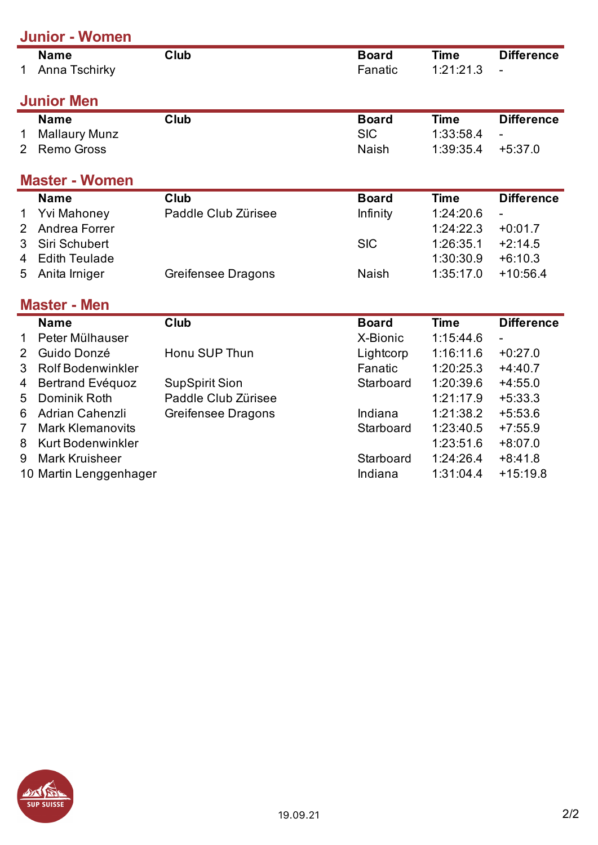|                | <b>Junior - Women</b>    |                           |              |             |                   |  |  |
|----------------|--------------------------|---------------------------|--------------|-------------|-------------------|--|--|
|                | <b>Name</b>              | Club                      | <b>Board</b> | <b>Time</b> | <b>Difference</b> |  |  |
| 1              | Anna Tschirky            |                           | Fanatic      | 1:21:21.3   |                   |  |  |
|                |                          |                           |              |             |                   |  |  |
|                | <b>Junior Men</b>        |                           |              |             |                   |  |  |
|                | <b>Name</b>              | Club                      | <b>Board</b> | <b>Time</b> | <b>Difference</b> |  |  |
| 1              | <b>Mallaury Munz</b>     |                           | <b>SIC</b>   | 1:33:58.4   |                   |  |  |
| 2              | <b>Remo Gross</b>        |                           | <b>Naish</b> | 1:39:35.4   | $+5:37.0$         |  |  |
|                | <b>Master - Women</b>    |                           |              |             |                   |  |  |
|                | <b>Name</b>              | <b>Club</b>               | <b>Board</b> | <b>Time</b> | <b>Difference</b> |  |  |
| 1              | <b>Yvi Mahoney</b>       | Paddle Club Zürisee       | Infinity     | 1:24:20.6   |                   |  |  |
| 2              | Andrea Forrer            |                           |              | 1:24:22.3   | $+0:01.7$         |  |  |
| 3              | Siri Schubert            |                           | <b>SIC</b>   | 1:26:35.1   | $+2:14.5$         |  |  |
| 4              | <b>Edith Teulade</b>     |                           |              | 1:30:30.9   | $+6:10.3$         |  |  |
| 5              | Anita Irniger            | <b>Greifensee Dragons</b> | <b>Naish</b> | 1:35:17.0   | $+10:56.4$        |  |  |
|                | <b>Master - Men</b>      |                           |              |             |                   |  |  |
|                | <b>Name</b>              | <b>Club</b>               | <b>Board</b> | <b>Time</b> | <b>Difference</b> |  |  |
| 1              | Peter Mülhauser          |                           | X-Bionic     | 1:15:44.6   |                   |  |  |
| $\overline{2}$ | Guido Donzé              | Honu SUP Thun             | Lightcorp    | 1:16:11.6   | $+0:27.0$         |  |  |
| 3              | <b>Rolf Bodenwinkler</b> |                           | Fanatic      | 1:20:25.3   | $+4:40.7$         |  |  |
| 4              | <b>Bertrand Evéquoz</b>  | <b>SupSpirit Sion</b>     | Starboard    | 1:20:39.6   | $+4:55.0$         |  |  |
| 5              | Dominik Roth             | Paddle Club Zürisee       |              | 1:21:17.9   | $+5:33.3$         |  |  |
| 6              | Adrian Cahenzli          | <b>Greifensee Dragons</b> | Indiana      | 1:21:38.2   | $+5:53.6$         |  |  |
| 7              | <b>Mark Klemanovits</b>  |                           | Starboard    | 1:23:40.5   | $+7:55.9$         |  |  |
| 8              | <b>Kurt Bodenwinkler</b> |                           |              | 1:23:51.6   | $+8:07.0$         |  |  |
| 9              | <b>Mark Kruisheer</b>    |                           | Starboard    | 1:24:26.4   | $+8:41.8$         |  |  |
|                | 10 Martin Lenggenhager   |                           | Indiana      | 1:31:04.4   | $+15:19.8$        |  |  |

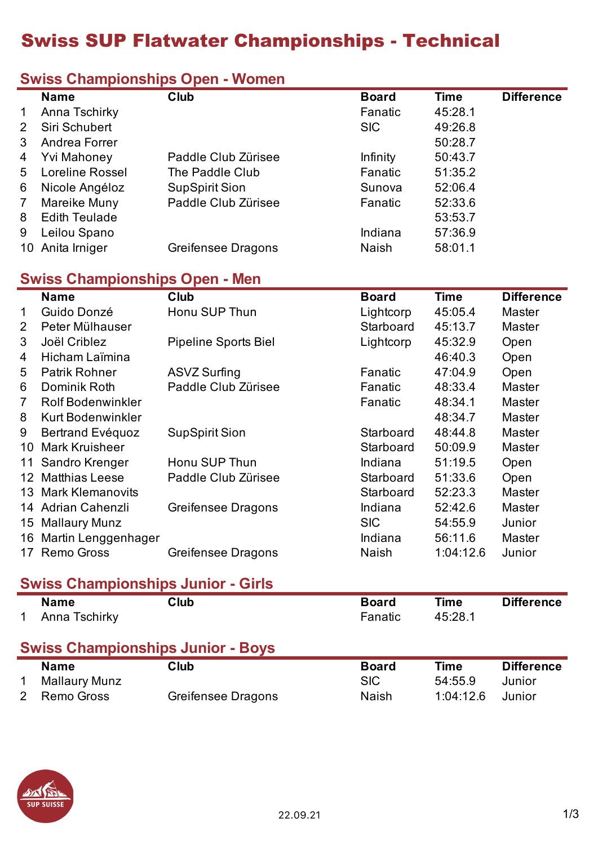# Swiss SUP Flatwater Championships - Technical

# **Swiss Championships Open - Women**

|                 | <b>Name</b>                               | Club                        | <b>Board</b>    | <b>Time</b> | <b>Difference</b> |
|-----------------|-------------------------------------------|-----------------------------|-----------------|-------------|-------------------|
| 1               | Anna Tschirky                             |                             | Fanatic         | 45:28.1     |                   |
| 2               | Siri Schubert                             |                             | <b>SIC</b>      | 49:26.8     |                   |
| 3               | Andrea Forrer                             |                             |                 | 50:28.7     |                   |
| 4               | <b>Yvi Mahoney</b>                        | Paddle Club Zürisee         | <b>Infinity</b> | 50:43.7     |                   |
| 5               | <b>Loreline Rossel</b>                    | The Paddle Club             | Fanatic         | 51:35.2     |                   |
| 6               | Nicole Angéloz                            | <b>SupSpirit Sion</b>       | Sunova          | 52:06.4     |                   |
| $\overline{7}$  | Mareike Muny                              | Paddle Club Zürisee         | Fanatic         | 52:33.6     |                   |
| 8               | <b>Edith Teulade</b>                      |                             |                 | 53:53.7     |                   |
| 9               | Leilou Spano                              |                             | Indiana         | 57:36.9     |                   |
|                 | 10 Anita Irniger                          | <b>Greifensee Dragons</b>   | <b>Naish</b>    | 58:01.1     |                   |
|                 | <b>Swiss Championships Open - Men</b>     |                             |                 |             |                   |
|                 | <b>Name</b>                               | <b>Club</b>                 | <b>Board</b>    | <b>Time</b> | <b>Difference</b> |
| 1               | Guido Donzé                               | Honu SUP Thun               | Lightcorp       | 45:05.4     | Master            |
| $\overline{2}$  | Peter Mülhauser                           |                             | Starboard       | 45:13.7     | Master            |
| 3               | Joël Criblez                              | <b>Pipeline Sports Biel</b> | Lightcorp       | 45:32.9     | Open              |
| 4               | Hicham Laïmina                            |                             |                 | 46:40.3     | Open              |
| 5               | <b>Patrik Rohner</b>                      | <b>ASVZ Surfing</b>         | Fanatic         | 47:04.9     | Open              |
| 6               | Dominik Roth                              | Paddle Club Zürisee         | Fanatic         | 48:33.4     | Master            |
| $\overline{7}$  | <b>Rolf Bodenwinkler</b>                  |                             | Fanatic         | 48:34.1     | Master            |
| 8               | <b>Kurt Bodenwinkler</b>                  |                             |                 | 48:34.7     | <b>Master</b>     |
| 9               | Bertrand Evéquoz                          | <b>SupSpirit Sion</b>       | Starboard       | 48:44.8     | Master            |
| 10 <sup>°</sup> | <b>Mark Kruisheer</b>                     |                             | Starboard       | 50:09.9     | Master            |
| 11              | Sandro Krenger                            | Honu SUP Thun               | Indiana         | 51:19.5     | Open              |
| 12              | <b>Matthias Leese</b>                     | Paddle Club Zürisee         | Starboard       | 51:33.6     | Open              |
| 13              | <b>Mark Klemanovits</b>                   |                             | Starboard       | 52:23.3     | Master            |
|                 | 14 Adrian Cahenzli                        | Greifensee Dragons          | Indiana         | 52:42.6     | Master            |
|                 | 15 Mallaury Munz                          |                             | <b>SIC</b>      | 54:55.9     | Junior            |
|                 | 16 Martin Lenggenhager                    |                             | Indiana         | 56:11.6     | Master            |
|                 | 17 Remo Gross                             | <b>Greifensee Dragons</b>   | <b>Naish</b>    | 1:04:12.6   | Junior            |
|                 |                                           |                             |                 |             |                   |
|                 | <b>Swiss Championships Junior - Girls</b> |                             |                 |             |                   |
|                 | <b>Name</b>                               | Club                        | <b>Board</b>    | <b>Time</b> | <b>Difference</b> |
| 1               | Anna Tschirky                             |                             | Fanatic         | 45:28.1     |                   |
|                 | <b>Swiss Championships Junior - Boys</b>  |                             |                 |             |                   |
|                 | <b>Name</b>                               | Club                        | <b>Board</b>    | <b>Time</b> | <b>Difference</b> |
| 1               | <b>Mallaury Munz</b>                      |                             | <b>SIC</b>      | 54:55.9     | Junior            |
| 2               | <b>Remo Gross</b>                         | <b>Greifensee Dragons</b>   | Naish           | 1:04:12.6   | Junior            |
|                 |                                           |                             |                 |             |                   |

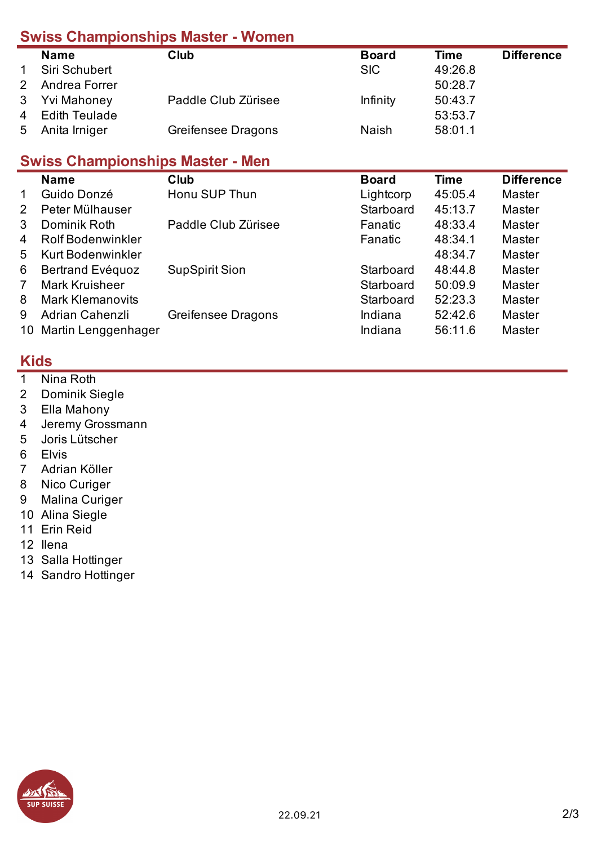# **Swiss Championships Master - Women**

|              | <b>Name</b>     | Club                | <b>Board</b> | <b>Time</b> | <b>Difference</b> |
|--------------|-----------------|---------------------|--------------|-------------|-------------------|
|              | Siri Schubert   |                     | <b>SIC</b>   | 49:26.8     |                   |
| $\mathbf{2}$ | Andrea Forrer   |                     |              | 50:28.7     |                   |
|              | 3 Yvi Mahoney   | Paddle Club Zürisee | Infinity     | 50:43.7     |                   |
|              | 4 Edith Teulade |                     |              | 53:53.7     |                   |
|              | 5 Anita Irniger | Greifensee Dragons  | <b>Naish</b> | 58:01.1     |                   |

#### **Swiss Championships Master - Men**

|    | <b>Name</b>              | Club                  | <b>Board</b> | <b>Time</b> | <b>Difference</b> |
|----|--------------------------|-----------------------|--------------|-------------|-------------------|
| 1  | Guido Donzé              | Honu SUP Thun         | Lightcorp    | 45:05.4     | <b>Master</b>     |
| 2  | Peter Mülhauser          |                       | Starboard    | 45:13.7     | <b>Master</b>     |
| 3  | Dominik Roth             | Paddle Club Zürisee   | Fanatic      | 48:33.4     | <b>Master</b>     |
| 4  | <b>Rolf Bodenwinkler</b> |                       | Fanatic      | 48:34.1     | <b>Master</b>     |
| 5. | <b>Kurt Bodenwinkler</b> |                       |              | 48:34.7     | <b>Master</b>     |
| 6  | Bertrand Evéquoz         | <b>SupSpirit Sion</b> | Starboard    | 48:44.8     | <b>Master</b>     |
| 7  | <b>Mark Kruisheer</b>    |                       | Starboard    | 50:09.9     | <b>Master</b>     |
| 8  | <b>Mark Klemanovits</b>  |                       | Starboard    | 52:23.3     | <b>Master</b>     |
| 9  | Adrian Cahenzli          | Greifensee Dragons    | Indiana      | 52:42.6     | <b>Master</b>     |
| 10 | Martin Lenggenhager      |                       | Indiana      | 56:11.6     | <b>Master</b>     |

## **Kids**

- Nina Roth
- Dominik Siegle
- Ella Mahony
- Jeremy Grossmann
- Joris Lütscher
- Elvis
- Adrian Köller
- Nico Curiger
- Malina Curiger
- Alina Siegle
- Erin Reid
- Ilena
- Salla Hottinger
- Sandro Hottinger